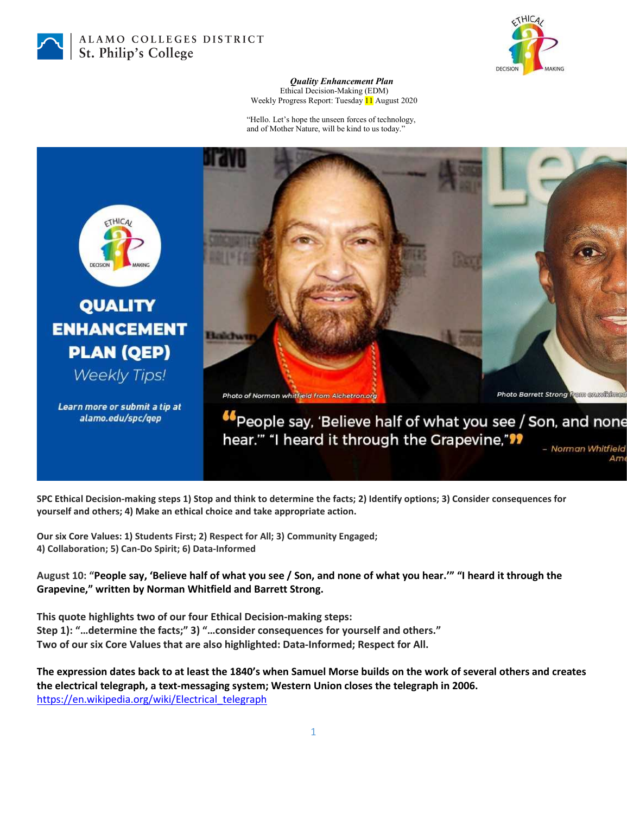

## ALAMO COLLEGES DISTRICT St. Philip's College



*Quality Enhancement Plan*

Ethical Decision-Making (EDM) Weekly Progress Report: Tuesday 11 August 2020

"Hello. Let's hope the unseen forces of technology, and of Mother Nature, will be kind to us today."



**SPC Ethical Decision-making steps 1) Stop and think to determine the facts; 2) Identify options; 3) Consider consequences for yourself and others; 4) Make an ethical choice and take appropriate action.**

**Our six Core Values: 1) Students First; 2) Respect for All; 3) Community Engaged; 4) Collaboration; 5) Can-Do Spirit; 6) Data-Informed**

**August 10: "People say, 'Believe half of what you see / Son, and none of what you hear.'" "I heard it through the Grapevine," written by Norman Whitfield and Barrett Strong.** 

**This quote highlights two of our four Ethical Decision-making steps: Step 1): "…determine the facts;" 3) "…consider consequences for yourself and others." Two of our six Core Values that are also highlighted: Data-Informed; Respect for All.**

**The expression dates back to at least the 1840's when Samuel Morse builds on the work of several others and creates the electrical telegraph, a text-messaging system; Western Union closes the telegraph in 2006.**  [https://en.wikipedia.org/wiki/Electrical\\_telegraph](https://en.wikipedia.org/wiki/Electrical_telegraph)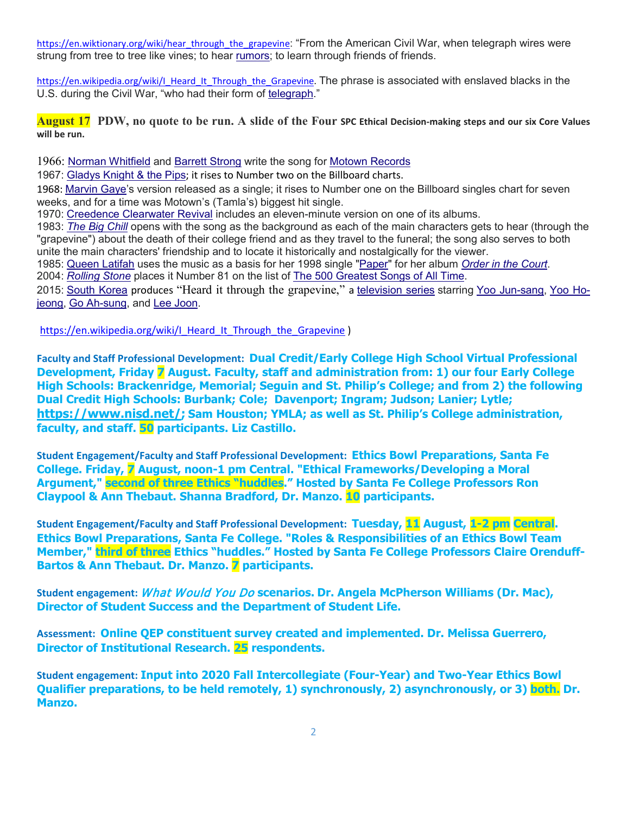[https://en.wiktionary.org/wiki/hear\\_through\\_the\\_grapevine](https://en.wiktionary.org/wiki/hear_through_the_grapevine): "From the American Civil War, when telegraph wires were strung from tree to tree like vines; to hear [rumors;](https://en.wiktionary.org/wiki/rumor) to learn through friends of friends.

[https://en.wikipedia.org/wiki/I\\_Heard\\_It\\_Through\\_the\\_Grapevine.](https://en.wikipedia.org/wiki/I_Heard_It_Through_the_Grapevine) The phrase is associated with enslaved blacks in the U.S. during the Civil War, "who had their form of [telegraph.](https://en.wikipedia.org/wiki/Morse_telegraph)"

**August 17 PDW, no quote to be run. A slide of the Four SPC Ethical Decision-making steps and our six Core Values will be run.**

1966: [Norman Whitfield](https://en.wikipedia.org/wiki/Norman_Whitfield) and [Barrett Strong](https://en.wikipedia.org/wiki/Barrett_Strong) write the song for [Motown Records](https://en.wikipedia.org/wiki/Motown_Records)

1967: [Gladys Knight & the Pips](https://en.wikipedia.org/wiki/Gladys_Knight_%26_the_Pips); it rises to Number two on the Billboard charts.

1968: [Marvin Gaye's](https://en.wikipedia.org/wiki/Marvin_Gaye) version released as a single; it rises to Number one on the Billboard singles chart for seven weeks, and for a time was Motown's (Tamla's) biggest hit single.

1970: [Creedence Clearwater Revival](https://en.wikipedia.org/wiki/Creedence_Clearwater_Revival) includes an eleven-minute version on one of its albums.

1983: *[The Big Chill](https://en.wikipedia.org/wiki/The_Big_Chill_(film))* opens with the song as the background as each of the main characters gets to hear (through the "grapevine") about the death of their college friend and as they travel to the funeral; the song also serves to both unite the main characters' friendship and to locate it historically and nostalgically for the viewer.

1985: [Queen Latifah](https://en.wikipedia.org/wiki/Queen_Latifah) uses the music as a basis for her 1998 single ["Paper"](https://en.wikipedia.org/wiki/Paper_(Queen_Latifah_song)) for her album *[Order in the Court](https://en.wikipedia.org/wiki/Order_in_the_Court)*. 2004: *[Rolling Stone](https://en.wikipedia.org/wiki/Rolling_Stone)* places it Number 81 on the list of [The 500 Greatest Songs of All Time.](https://en.wikipedia.org/wiki/The_500_Greatest_Songs_of_All_Time)

2015: [South Korea](https://en.wikipedia.org/wiki/South_Korea) produces "Heard it through the grapevine," a [television series](https://en.wikipedia.org/wiki/Korean_drama) starring [Yoo Jun-sang,](https://en.wikipedia.org/wiki/Yoo_Jun-sang) [Yoo Ho](https://en.wikipedia.org/wiki/Yoo_Ho-jeong)[jeong,](https://en.wikipedia.org/wiki/Yoo_Ho-jeong) [Go Ah-sung,](https://en.wikipedia.org/wiki/Go_Ah-sung) and [Lee Joon.](https://en.wikipedia.org/wiki/Lee_Joon)

https://en.wikipedia.org/wiki/I Heard It Through the Grapevine )

**Faculty and Staff Professional Development: Dual Credit/Early College High School Virtual Professional Development, Friday 7 August. Faculty, staff and administration from: 1) our four Early College High Schools: Brackenridge, Memorial; Seguin and St. Philip's College; and from 2) the following Dual Credit High Schools: Burbank; Cole; Davenport; Ingram; Judson; Lanier; Lytle; [https://www.nisd.net/;](https://www.nisd.net/) Sam Houston; YMLA; as well as St. Philip's College administration, faculty, and staff. 50 participants. Liz Castillo.**

**Student Engagement/Faculty and Staff Professional Development: Ethics Bowl Preparations, Santa Fe College. Friday, 7 August, noon-1 pm Central. "Ethical Frameworks/Developing a Moral Argument," second of three Ethics "huddles." Hosted by Santa Fe College Professors Ron Claypool & Ann Thebaut. Shanna Bradford, Dr. Manzo. 10 participants.**

**Student Engagement/Faculty and Staff Professional Development: Tuesday, 11 August, 1-2 pm Central. Ethics Bowl Preparations, Santa Fe College. "Roles & Responsibilities of an Ethics Bowl Team Member," third of three Ethics "huddles." Hosted by Santa Fe College Professors Claire Orenduff-Bartos & Ann Thebaut. Dr. Manzo. 7 participants.**

**Student engagement:** What Would You Do **scenarios. Dr. Angela McPherson Williams (Dr. Mac), Director of Student Success and the Department of Student Life.**

**Assessment: Online QEP constituent survey created and implemented. Dr. Melissa Guerrero, Director of Institutional Research. 25 respondents.**

**Student engagement: Input into 2020 Fall Intercollegiate (Four-Year) and Two-Year Ethics Bowl Qualifier preparations, to be held remotely, 1) synchronously, 2) asynchronously, or 3) both. Dr. Manzo.**